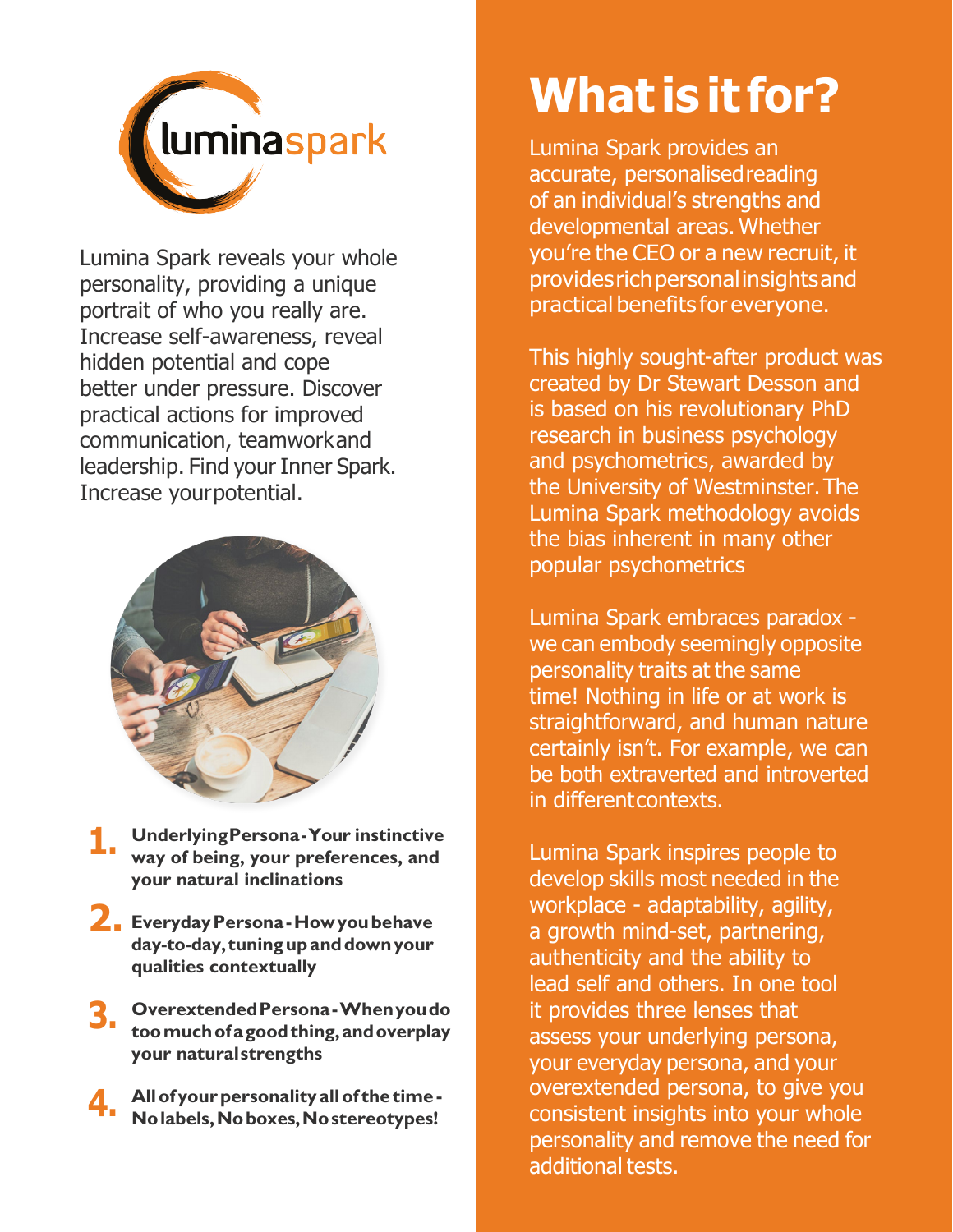

Lumina Spark reveals your whole personality, providing a unique portrait of who you really are. Increase self-awareness, reveal hidden potential and cope better under pressure. Discover practical actions for improved communication, teamworkand leadership. Find your Inner Spark. Increase yourpotential.



- **UnderlyingPersona-Your instinctive way of being, your preferences, and your natural inclinations 1.**
- **2. EverydayPersona-Howyoubehave day-to-day, tuningupanddownyour qualities contextually**
- **OverextendedPersona-Whenyoudo toomuchofagoodthing,andoverplay your naturalstrengths 3.**
- **Allof yourpersonality allof the time - Nolabels,Noboxes,Nostereotypes! 4.**

## **What is it for?**

Lumina Spark provides an accurate, personalisedreading of an individual's strengths and developmental areas. Whether you're the CEO or a new recruit, it providesrichpersonalinsightsand practical benefits for everyone.

This highly sought-after product was created by Dr Stewart Desson and is based on his revolutionary PhD research in business psychology and psychometrics, awarded by the University of Westminster.The Lumina Spark methodology avoids the bias inherent in many other popular psychometrics

Lumina Spark embraces paradox we can embody seemingly opposite personality traits at the same time! Nothing in life or at work is straightforward, and human nature certainly isn't. For example, we can be both extraverted and introverted in differentcontexts.

Lumina Spark inspires people to develop skills most needed in the workplace - adaptability, agility, a growth mind-set, partnering, authenticity and the ability to lead self and others. In one tool it provides three lenses that assess your underlying persona, your everyday persona, and your overextended persona, to give you consistent insights into your whole personality and remove the need for additional tests.